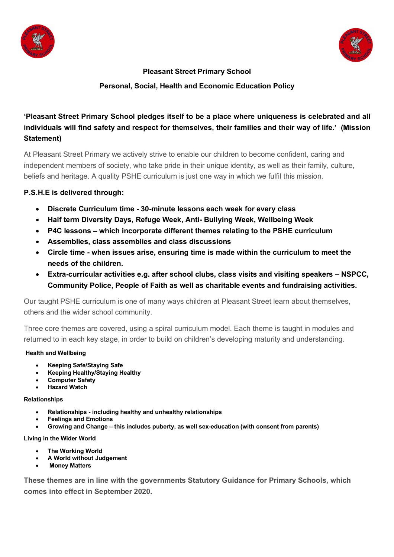



## **Pleasant Street Primary School**

## **Personal, Social, Health and Economic Education Policy**

# **'Pleasant Street Primary School pledges itself to be a place where uniqueness is celebrated and all individuals will find safety and respect for themselves, their families and their way of life.' (Mission Statement)**

At Pleasant Street Primary we actively strive to enable our children to become confident, caring and independent members of society, who take pride in their unique identity, as well as their family, culture, beliefs and heritage. A quality PSHE curriculum is just one way in which we fulfil this mission.

### **P.S.H.E is delivered through:**

- **Discrete Curriculum time - 30-minute lessons each week for every class**
- **Half term Diversity Days, Refuge Week, Anti- Bullying Week, Wellbeing Week**
- **P4C lessons – which incorporate different themes relating to the PSHE curriculum**
- **Assemblies, class assemblies and class discussions**
- **Circle time - when issues arise, ensuring time is made within the curriculum to meet the needs of the children.**
- **Extra-curricular activities e.g. after school clubs, class visits and visiting speakers – NSPCC, Community Police, People of Faith as well as charitable events and fundraising activities.**

Our taught PSHE curriculum is one of many ways children at Pleasant Street learn about themselves, others and the wider school community.

Three core themes are covered, using a spiral curriculum model. Each theme is taught in modules and returned to in each key stage, in order to build on children's developing maturity and understanding.

#### **Health and Wellbeing**

- **Keeping Safe/Staying Safe**
- **Keeping Healthy/Staying Healthy**
- **Computer Safety**
- **Hazard Watch**

#### **Relationships**

- **Relationships - including healthy and unhealthy relationships**
- **Feelings and Emotions**
- **Growing and Change – this includes puberty, as well sex-education (with consent from parents)**

#### **Living in the Wider World**

- **The Working World**
- **A World without Judgement**
- **Money Matters**

**These themes are in line with the governments Statutory Guidance for Primary Schools, which comes into effect in September 2020.**